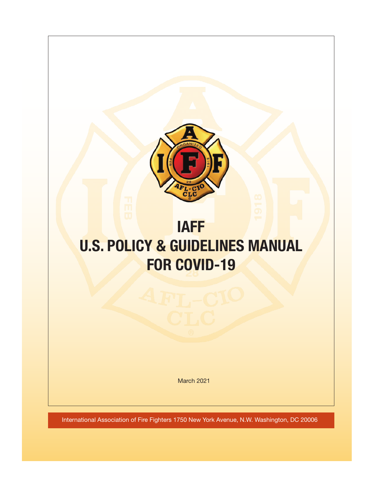

# **IAFF U.S. POLICY & GUIDELINES MANUAL FOR COVID-19**

March 2021

International Association of Fire Fighters 1750 New York Avenue, N.W. Washington, DC 20006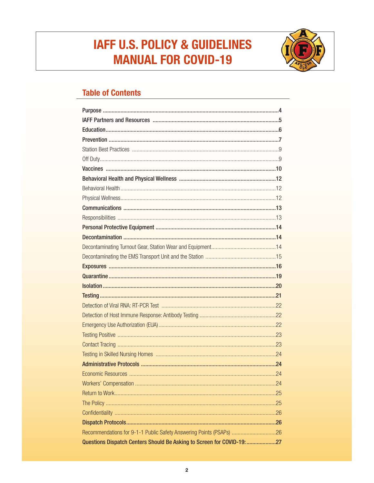# **IAFF U.S. POLICY & GUIDELINES MANUAL FOR COVID-19**



# **Table of Contents**

| Recommendations for 9-1-1 Public Safety Answering Points (PSAPs) 26    |  |
|------------------------------------------------------------------------|--|
| Questions Dispatch Centers Should Be Asking to Screen for COVID-19: 27 |  |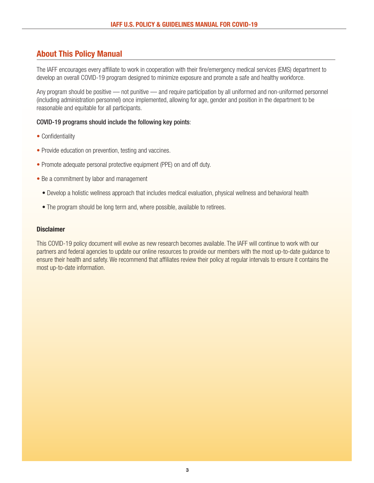# **About This Policy Manual**

The IAFF encourages every affiliate to work in cooperation with their fire/emergency medical services (EMS) department to develop an overall COVID-19 program designed to minimize exposure and promote a safe and healthy workforce.

Any program should be positive — not punitive — and require participation by all uniformed and non-uniformed personnel (including administration personnel) once implemented, allowing for age, gender and position in the department to be reasonable and equitable for all participants.

#### COVID-19 programs should include the following key points:

- Confidentiality
- Provide education on prevention, testing and vaccines.
- Promote adequate personal protective equipment (PPE) on and off duty.
- Be a commitment by labor and management
	- Develop a holistic wellness approach that includes medical evaluation, physical wellness and behavioral health
	- The program should be long term and, where possible, available to retirees.

## **Disclaimer**

This COVID-19 policy document will evolve as new research becomes available. The IAFF will continue to work with our partners and federal agencies to update our online resources to provide our members with the most up-to-date guidance to ensure their health and safety. We recommend that affiliates review their policy at regular intervals to ensure it contains the most up-to-date information.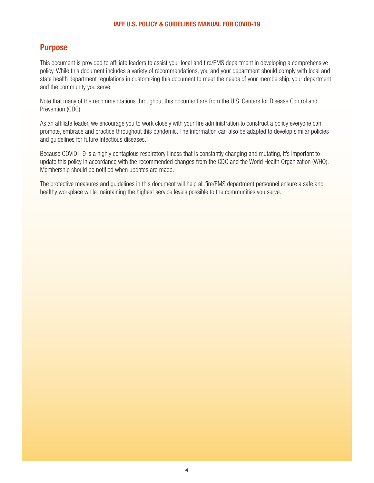# **Purpose**

This document is provided to affiliate leaders to assist your local and fire/EMS department in developing a comprehensive policy. While this document includes a variety of recommendations, you and your department should comply with local and state health department regulations in customizing this document to meet the needs of your membership, your department and the community you serve.

Note that many of the recommendations throughout this document are from the U.S. Centers for Disease Control and Prevention (CDC).

As an affiliate leader, we encourage you to work closely with your fire administration to construct a policy everyone can promote, embrace and practice throughout this pandemic. The information can also be adapted to develop similar policies and guidelines for future infectious diseases.

Because COVID-19 is a highly contagious respiratory illness that is constantly changing and mutating, it's important to update this policy in accordance with the recommended changes from the CDC and the World Health Organization (WHO). Membership should be notified when updates are made.

The protective measures and guidelines in this document will help all fire/EMS department personnel ensure a safe and healthy workplace while maintaining the highest service levels possible to the communities you serve.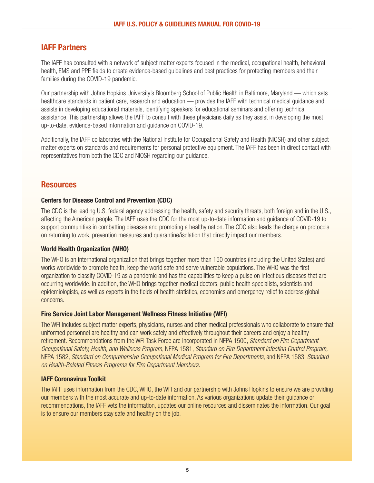# <span id="page-4-0"></span>**IAFF Partners**

The IAFF has consulted with a network of subject matter experts focused in the medical, occupational health, behavioral health, EMS and PPE fields to create evidence-based guidelines and best practices for protecting members and their families during the COVID-19 pandemic.

Our partnership with Johns Hopkins University's Bloomberg School of Public Health in Baltimore, Maryland — which sets healthcare standards in patient care, research and education — provides the IAFF with technical medical guidance and assists in developing educational materials, identifying speakers for educational seminars and offering technical assistance. This partnership allows the IAFF to consult with these physicians daily as they assist in developing the most up-to-date, evidence-based information and guidance on COVID-19.

Additionally, the IAFF collaborates with the National Institute for Occupational Safety and Health (NIOSH) and other subject matter experts on standards and requirements for personal protective equipment. The IAFF has been in direct contact with representatives from both the CDC and NIOSH regarding our guidance.

# **Resources**

#### **Centers for Disease Control and Prevention (CDC)**

The CDC is the leading U.S. federal agency addressing the health, safety and security threats, both foreign and in the U.S., affecting the American people. The IAFF uses the CDC for the most up-to-date information and guidance of COVID-19 to support communities in combatting diseases and promoting a healthy nation. The CDC also leads the charge on protocols on returning to work, prevention measures and quarantine/isolation that directly impact our members.

#### **World Health Organization (WHO)**

The WHO is an international organization that brings together more than 150 countries (including the United States) and works worldwide to promote health, keep the world safe and serve vulnerable populations. The WHO was the first organization to classify COVID-19 as a pandemic and has the capabilities to keep a pulse on infectious diseases that are occurring worldwide. In addition, the WHO brings together medical doctors, public health specialists, scientists and epidemiologists, as well as experts in the fields of health statistics, economics and emergency relief to address global concerns.

#### **[Fire Service Joint Labor Management Wellness Fitness Initiative](https://www.iaff.org/wellness-fitness/) (WFI)**

The WFI includes subject matter experts, physicians, nurses and other medical professionals who collaborate to ensure that uniformed personnel are healthy and can work safely and effectively throughout their careers and enjoy a healthy retirement. Recommendations from the WFI Task Force are incorporated in NFPA 1500, Standard on Fire Department Occupational Safety, Health, and Wellness Program, NFPA 1581, Standard on Fire Department Infection Control Program, NFPA 1582, Standard on Comprehensive Occupational Medical Program for Fire Departments, and NFPA 1583, Standard on Health-Related Fitness Programs for Fire Department Members.

# **[IAFF Coronavirus Toolkit](https://www.iaff.org/coronavirus/)**

The IAFF uses information from the CDC, WHO, the WFI and our partnership with Johns Hopkins to ensure we are providing our members with the most accurate and up-to-date information. As various organizations update their guidance or recommendations, the IAFF vets the information, updates our online resources and disseminates the information. Our goal is to ensure our members stay safe and healthy on the job.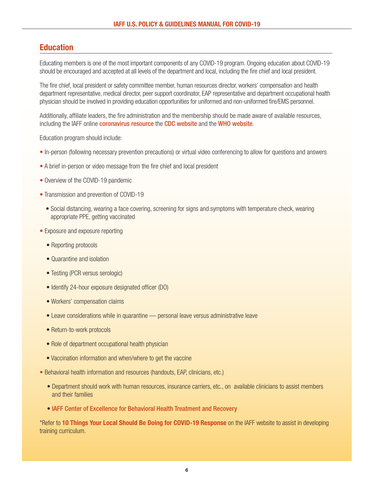# **Education**

Educating members is one of the most important components of any COVID-19 program. Ongoing education about COVID-19 should be encouraged and accepted at all levels of the department and local, including the fire chief and local president.

The fire chief, local president or safety committee member, human resources director, workers' compensation and health department representative, medical director, peer support coordinator, EAP representative and department occupational health physician should be involved in providing education opportunities for uniformed and non-uniformed fire/EMS personnel.

Additionally, affiliate leaders, the fire administration and the membership should be made aware of available resources, including the IAFF online **[coronavirus resource](http://www.iaff.org/coronavirus/)** the **CDC** website and the [WHO website](http://www.who.int).

Education program should include:

- In-person (following necessary prevention precautions) or virtual video conferencing to allow for questions and answers
- A brief in-person or video message from the fire chief and local president
- Overview of the COVID-19 pandemic
- Transmission and prevention of COVID-19
	- Social distancing, wearing a face covering, screening for signs and symptoms with temperature check, wearing appropriate PPE, getting vaccinated
- Exposure and exposure reporting
	- Reporting protocols
	- Quarantine and isolation
	- Testing (PCR versus serologic)
	- Identify 24-hour exposure designated officer (DO)
	- Workers' compensation claims
	- Leave considerations while in quarantine personal leave versus administrative leave
	- Return-to-work protocols
	- Role of department occupational health physician
	- Vaccination information and when/where to get the vaccine
- Behavioral health information and resources (handouts, EAP, clinicians, etc.)
	- Department should work with human resources, insurance carriers, etc., on available clinicians to assist members and their families
	- [IAFF Center of Excellence for Behavioral Health Treatment and Recovery](http://www.iaffrecoverycenter.com)

\*Refer to **[10 Things Your Local Should Be Doing for COVID-19 Response](https://www.iaff.org/wp-content/uploads/10-item-Checklist-for-Locals-COVID-19_v2-1.pdf)** on the IAFF website to assist in developing training curriculum.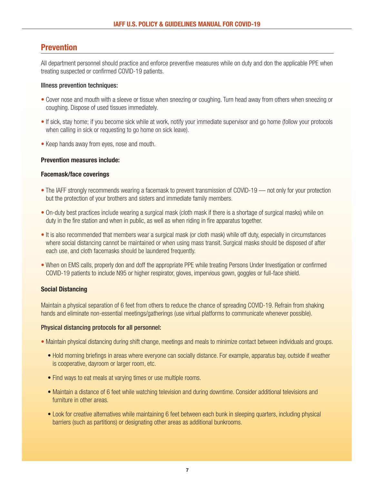# **Prevention**

All department personnel should practice and enforce preventive measures while on duty and don the applicable PPE when treating suspected or confirmed COVID-19 patients.

## Illness prevention techniques:

- Cover nose and mouth with a sleeve or tissue when sneezing or coughing. Turn head away from others when sneezing or coughing. Dispose of used tissues immediately.
- If sick, stay home; if you become sick while at work, notify your immediate supervisor and go home (follow your protocols when calling in sick or requesting to go home on sick leave).
- Keep hands away from eyes, nose and mouth.

## **Prevention measures include:**

## **Facemask/face coverings**

- The IAFF strongly recommends wearing a facemask to prevent transmission of COVID-19 not only for your protection but the protection of your brothers and sisters and immediate family members.
- On-duty best practices include wearing a surgical mask (cloth mask if there is a shortage of surgical masks) while on duty in the fire station and when in public, as well as when riding in fire apparatus together.
- It is also recommended that members wear a surgical mask (or cloth mask) while off duty, especially in circumstances where social distancing cannot be maintained or when using mass transit. Surgical masks should be disposed of after each use, and cloth facemasks should be laundered frequently.
- When on EMS calls, properly don and doff the appropriate PPE while treating Persons Under Investigation or confirmed COVID-19 patients to include N95 or higher respirator, gloves, impervious gown, goggles or full-face shield.

# **Social Distancing**

Maintain a physical separation of 6 feet from others to reduce the chance of spreading COVID-19. Refrain from shaking hands and eliminate non-essential meetings/gatherings (use virtual platforms to communicate whenever possible).

#### Physical distancing protocols for all personnel:

• Maintain physical distancing during shift change, meetings and meals to minimize contact between individuals and groups.

- Hold morning briefings in areas where everyone can socially distance. For example, apparatus bay, outside if weather is cooperative, dayroom or larger room, etc.
- Find ways to eat meals at varying times or use multiple rooms.
- Maintain a distance of 6 feet while watching television and during downtime. Consider additional televisions and furniture in other areas.
- Look for creative alternatives while maintaining 6 feet between each bunk in sleeping quarters, including physical barriers (such as partitions) or designating other areas as additional bunkrooms.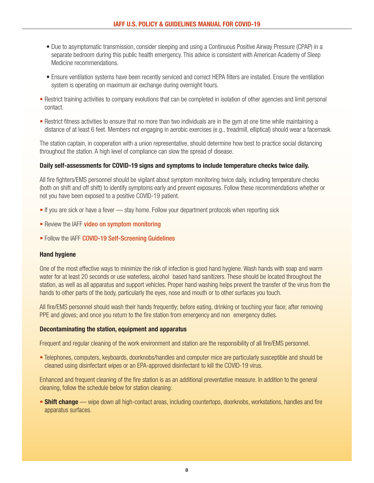- Due to asymptomatic transmission, consider sleeping and using a Continuous Positive Airway Pressure (CPAP) in a separate bedroom during this public health emergency. This advice is consistent with American Academy of Sleep Medicine recommendations.
- Ensure ventilation systems have been recently serviced and correct HEPA filters are installed. Ensure the ventilation system is operating on maximum air exchange during overnight hours.
- Restrict training activities to company evolutions that can be completed in isolation of other agencies and limit personal contact.
- Restrict fitness activities to ensure that no more than two individuals are in the gym at one time while maintaining a distance of at least 6 feet. Members not engaging in aerobic exercises (e.g., treadmill, elliptical) should wear a facemask.

The station captain, in cooperation with a union representative, should determine how best to practice social distancing throughout the station. A high level of compliance can slow the spread of disease.

#### **Daily self-assessments for COVID-19 signs and symptoms to include temperature checks twice daily.**

All fire fighters/EMS personnel should be vigilant about symptom monitoring twice daily, including temperature checks (both on shift and off shift) to identify symptoms early and prevent exposures. Follow these recommendations whether or not you have been exposed to a positive COVID-19 patient.

- If you are sick or have a fever stay home. Follow your department protocols when reporting sick
- Review the IAFF [video on symptom monitoring](https://www.youtube.com/watch?v=R4pFZEuHyhY&feature=emb_logo)
- Follow the IAFF [COVID-19 Self-Screening Guidelines](https://www.iaff.org/wp-content/uploads/Coronavirus-Self-Screening-Guidelines-2020-003-1.pdf)

#### **Hand hygiene**

One of the most effective ways to minimize the risk of infection is good hand hygiene. Wash hands with soap and warm water for at least 20 seconds or use waterless, alcohol based hand sanitizers. These should be located throughout the station, as well as all apparatus and support vehicles. Proper hand washing helps prevent the transfer of the virus from the hands to other parts of the body, particularly the eyes, nose and mouth or to other surfaces you touch.

All fire/EMS personnel should wash their hands frequently; before eating, drinking or touching your face; after removing PPE and gloves; and once you return to the fire station from emergency and non emergency duties.

#### **Decontaminating the station, equipment and apparatus**

Frequent and regular cleaning of the work environment and station are the responsibility of all fire/EMS personnel.

• Telephones, computers, keyboards, doorknobs/handles and computer mice are particularly susceptible and should be cleaned using disinfectant wipes or an EPA-approved disinfectant to kill the COVID-19 virus.

Enhanced and frequent cleaning of the fire station is as an additional preventative measure. In addition to the general cleaning, follow the schedule below for station cleaning:

• **Shift change** — wipe down all high-contact areas, including countertops, doorknobs, workstations, handles and fire apparatus surfaces.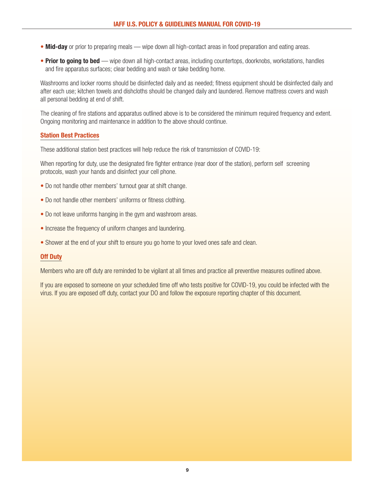- **Mid-day** or prior to preparing meals wipe down all high-contact areas in food preparation and eating areas.
- **Prior to going to bed**  wipe down all high-contact areas, including countertops, doorknobs, workstations, handles and fire apparatus surfaces; clear bedding and wash or take bedding home.

Washrooms and locker rooms should be disinfected daily and as needed; fitness equipment should be disinfected daily and after each use; kitchen towels and dishcloths should be changed daily and laundered. Remove mattress covers and wash all personal bedding at end of shift.

The cleaning of fire stations and apparatus outlined above is to be considered the minimum required frequency and extent. Ongoing monitoring and maintenance in addition to the above should continue.

## **Station Best Practices**

These additional station best practices will help reduce the risk of transmission of COVID-19:

When reporting for duty, use the designated fire fighter entrance (rear door of the station), perform self screening protocols, wash your hands and disinfect your cell phone.

- Do not handle other members' turnout gear at shift change.
- Do not handle other members' uniforms or fitness clothing.
- Do not leave uniforms hanging in the gym and washroom areas.
- Increase the frequency of uniform changes and laundering.
- Shower at the end of your shift to ensure you go home to your loved ones safe and clean.

# **Off Duty**

Members who are off duty are reminded to be vigilant at all times and practice all preventive measures outlined above.

If you are exposed to someone on your scheduled time off who tests positive for COVID-19, you could be infected with the virus. If you are exposed off duty, contact your DO and follow the exposure reporting chapter of this document.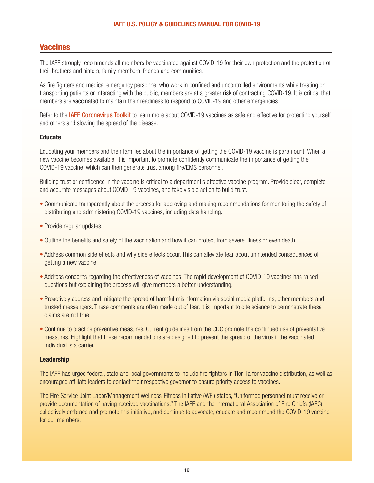# <span id="page-9-0"></span>**Vaccines**

The IAFF strongly recommends all members be vaccinated against COVID-19 for their own protection and the protection of their brothers and sisters, family members, friends and communities.

As fire fighters and medical emergency personnel who work in confined and uncontrolled environments while treating or transporting patients or interacting with the public, members are at a greater risk of contracting COVID-19. It is critical that members are vaccinated to maintain their readiness to respond to COVID-19 and other emergencies

Refer to the **[IAFF Coronavirus Toolkit](https://www.iaff.org/coronavirus/)** to learn more about COVID-19 vaccines as safe and effective for protecting yourself and others and slowing the spread of the disease.

## **Educate**

Educating your members and their families about the importance of getting the COVID-19 vaccine is paramount. When a new vaccine becomes available, it is important to promote confidently communicate the importance of getting the COVID-19 vaccine, which can then generate trust among fire/EMS personnel.

Building trust or confidence in the vaccine is critical to a department's effective vaccine program. Provide clear, complete and accurate messages about COVID-19 vaccines, and take visible action to build trust.

- Communicate transparently about the process for approving and making recommendations for monitoring the safety of distributing and administering COVID-19 vaccines, including data handling.
- Provide regular updates.
- Outline the benefits and safety of the vaccination and how it can protect from severe illness or even death.
- Address common side effects and why side effects occur. This can alleviate fear about unintended consequences of getting a new vaccine.
- Address concerns regarding the effectiveness of vaccines. The rapid development of COVID-19 vaccines has raised questions but explaining the process will give members a better understanding.
- Proactively address and mitigate the spread of harmful misinformation via social media platforms, other members and trusted messengers. These comments are often made out of fear. It is important to cite science to demonstrate these claims are not true.
- Continue to practice preventive measures. Current guidelines from the CDC promote the continued use of preventative measures. Highlight that these recommendations are designed to prevent the spread of the virus if the vaccinated individual is a carrier.

#### **Leadership**

The IAFF has urged federal, state and local governments to include fire fighters in Tier 1a for vaccine distribution, as well as encouraged affiliate leaders to contact their respective governor to ensure priority access to vaccines.

The Fire Service Joint Labor/Management Wellness-Fitness Initiative (WFI) states, "Uniformed personnel must receive or provide documentation of having received vaccinations." The IAFF and the International Association of Fire Chiefs (IAFC) collectively embrace and promote this initiative, and continue to advocate, educate and recommend the COVID-19 vaccine for our members.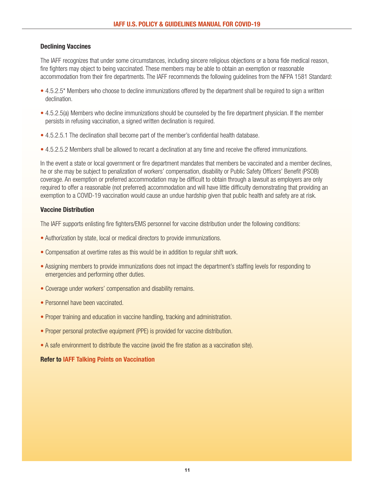## **Declining Vaccines**

The IAFF recognizes that under some circumstances, including sincere religious objections or a bona fide medical reason, fire fighters may object to being vaccinated. These members may be able to obtain an exemption or reasonable accommodation from their fire departments. The IAFF recommends the following guidelines from the NFPA 1581 Standard:

- 4.5.2.5<sup>\*</sup> Members who choose to decline immunizations offered by the department shall be required to sign a written declination.
- 4.5.2.5(a) Members who decline immunizations should be counseled by the fire department physician. If the member persists in refusing vaccination, a signed written declination is required.
- 4.5.2.5.1 The declination shall become part of the member's confidential health database.
- 4.5.2.5.2 Members shall be allowed to recant a declination at any time and receive the offered immunizations.

In the event a state or local government or fire department mandates that members be vaccinated and a member declines, he or she may be subject to penalization of workers' compensation, disability or Public Safety Officers' Benefit (PSOB) coverage. An exemption or preferred accommodation may be difficult to obtain through a lawsuit as employers are only required to offer a reasonable (not preferred) accommodation and will have little difficulty demonstrating that providing an exemption to a COVID-19 vaccination would cause an undue hardship given that public health and safety are at risk.

## **Vaccine Distribution**

The IAFF supports enlisting fire fighters/EMS personnel for vaccine distribution under the following conditions:

- Authorization by state, local or medical directors to provide immunizations.
- Compensation at overtime rates as this would be in addition to regular shift work.
- Assigning members to provide immunizations does not impact the department's staffing levels for responding to emergencies and performing other duties.
- Coverage under workers' compensation and disability remains.
- Personnel have been vaccinated.
- Proper training and education in vaccine handling, tracking and administration.
- Proper personal protective equipment (PPE) is provided for vaccine distribution.
- A safe environment to distribute the vaccine (avoid the fire station as a vaccination site).

# **Refer to [IAFF Talking Points on Vaccination](https://www.iaff.org/wp-content/uploads/Talking-Points-on-Vaccines.pdf)**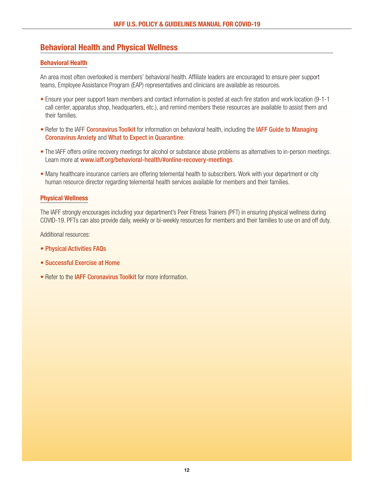# <span id="page-11-0"></span>**Behavioral Health and Physical Wellness**

# **Behavioral Health**

An area most often overlooked is members' behavioral health. Affiliate leaders are encouraged to ensure peer support teams, Employee Assistance Program (EAP) representatives and clinicians are available as resources.

- Ensure your peer support team members and contact information is posted at each fire station and work location (9-1-1 call center, apparatus shop, headquarters, etc.), and remind members these resources are available to assist them and their families.
- Refer to the IAFF [Coronavirus Toolkit](http://www.iaff.org/coronavirus) for information on behavioral health, including the [IAFF Guide to Managing](https://www.iaff.org/wp-content/uploads/Coronavirus_Flyer2_v2.pdf) [Coronavirus Anxiety](https://www.iaff.org/wp-content/uploads/Coronavirus_Flyer2_v2.pdf) and [What to Expect in Quarantine](https://www.iaff.org/wp-content/uploads/What-to-Expect-in-Quarantine-COVID-19-2020.pdf).
- The IAFF offers online recovery meetings for alcohol or substance abuse problems as alternatives to in-person meetings. Learn more at [www.iaff.org/behavioral-health/#online-recovery-meetings](https://www.iaff.org/behavioral-health/#online-recovery-meetings).
- Many healthcare insurance carriers are offering telemental health to subscribers. Work with your department or city human resource director regarding telemental health services available for members and their families.

## <span id="page-11-1"></span>**Physical Wellness**

The IAFF strongly encourages including your department's Peer Fitness Trainers (PFT) in ensuring physical wellness during COVID-19. PFTs can also provide daily, weekly or bi-weekly resources for members and their families to use on and off duty.

Additional resources:

- [Physical Activities FAQs](https://www.iaff.org/wp-content/uploads/WFIResources_FAQs_v3-2.pdf)
- [Successful Exercise at Home](https://www.iaff.org/wp-content/uploads/WFIResources_BehavioralChange_v2.pdf)
- Refer to the [IAFF Coronavirus Toolkit](http://www.iaff.org/coronavirus/#resources) for more information.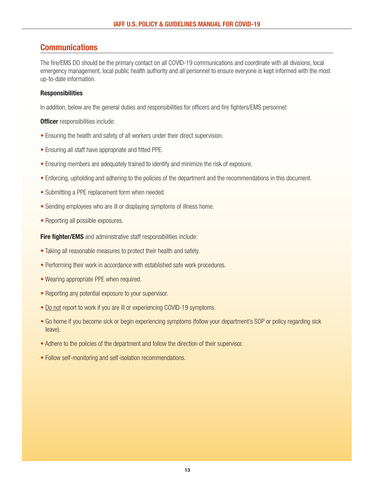# <span id="page-12-0"></span>**Communications**

The fire/EMS DO should be the primary contact on all COVID-19 communications and coordinate with all divisions, local emergency management, local public health authority and all personnel to ensure everyone is kept informed with the most up-to-date information.

# <span id="page-12-1"></span>**Responsibilities**

In addition, below are the general duties and responsibilities for officers and fire fighters/EMS personnel:

## **Officer** responsibilities include:

- Ensuring the health and safety of all workers under their direct supervision.
- Ensuring all staff have appropriate and fitted PPE.
- Ensuring members are adequately trained to identify and minimize the risk of exposure.
- Enforcing, upholding and adhering to the policies of the department and the recommendations in this document.
- Submitting a PPE replacement form when needed.
- Sending employees who are ill or displaying symptoms of illness home.
- Reporting all possible exposures.

**Fire fighter/EMS** and administrative staff responsibilities include:

- Taking all reasonable measures to protect their health and safety.
- Performing their work in accordance with established safe work procedures.
- Wearing appropriate PPE when required.
- Reporting any potential exposure to your supervisor.
- Do not report to work if you are ill or experiencing COVID-19 symptoms.
- Go home if you become sick or begin experiencing symptoms (follow your department's SOP or policy regarding sick leave).
- Adhere to the policies of the department and follow the direction of their supervisor.
- Follow self-monitoring and self-isolation recommendations.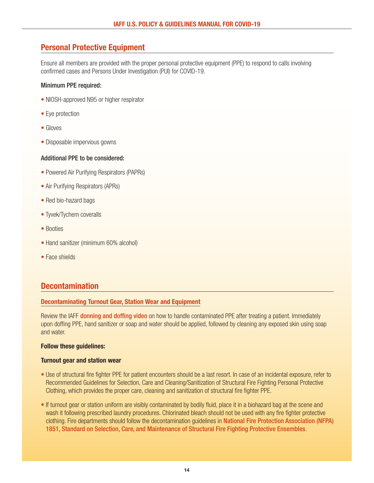# <span id="page-13-0"></span>**Personal Protective Equipment**

Ensure all members are provided with the proper personal protective equipment (PPE) to respond to calls involving confirmed cases and Persons Under Investigation (PUI) for COVID-19.

## Minimum PPE required:

- NIOSH-approved N95 or higher respirator
- Eye protection
- Gloves
- Disposable impervious gowns

## Additional PPE to be considered:

- Powered Air Purifying Respirators (PAPRs)
- Air Purifying Respirators (APRs)
- Red bio-hazard bags
- Tyvek/Tychem coveralls
- Booties
- Hand sanitizer (minimum 60% alcohol)
- Face shields

# **Decontamination**

#### <span id="page-13-1"></span>**Decontaminating Turnout Gear, Station Wear and Equipment**

Review the IAFF [donning and doffing video](https://www.youtube.com/watch?v=qjCe4gk3Fjs&feature=emb_logo) on how to handle contaminated PPE after treating a patient. Immediately upon doffing PPE, hand sanitizer or soap and water should be applied, followed by cleaning any exposed skin using soap and water.

#### **Follow these guidelines:**

#### **Turnout gear and station wear**

- Use of structural fire fighter PPE for patient encounters should be a last resort. In case of an incidental exposure, refer to Recommended Guidelines for Selection, Care and Cleaning/Sanitization of Structural Fire Fighting Personal Protective Clothing, which provides the proper care, cleaning and sanitization of structural fire fighter PPE.
- If turnout gear or station uniform are visibly contaminated by bodily fluid, place it in a biohazard bag at the scene and wash it following prescribed laundry procedures. Chlorinated bleach should not be used with any fire fighter protective clothing. Fire departments should follow the decontamination guidelines in [National Fire Protection Association \(NFPA\)](https://www.nfpa.org/codes-and-standards/all-codes-and-standards/list-of-codes-and-standards/detail?code=1851) [1851, Standard on Selection, Care, and Maintenance of Structural Fire Fighting Protective Ensembles](https://www.nfpa.org/codes-and-standards/all-codes-and-standards/list-of-codes-and-standards/detail?code=1851).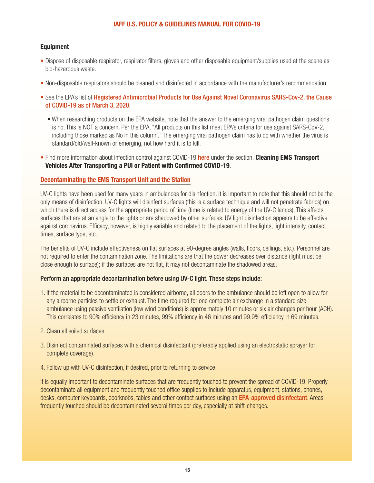# **Equipment**

- Dispose of disposable respirator, respirator filters, gloves and other disposable equipment/supplies used at the scene as bio-hazardous waste.
- Non-disposable respirators should be cleaned and disinfected in accordance with the manufacturer's recommendation.
- See the EPA's list of [Registered Antimicrobial Products for Use Against Novel Coronavirus SARS-Cov-2, the Cause](https://www.epa.gov/pesticide-registration/list-n-disinfectants-use-against-sars-cov-2) [of COVID-19 as of March 3, 2020.](https://www.epa.gov/pesticide-registration/list-n-disinfectants-use-against-sars-cov-2)
	- When researching products on the EPA website, note that the answer to the emerging viral pathogen claim questions is no. This is NOT a concern. Per the EPA, "All products on this list meet EPA's criteria for use against SARS-CoV-2, including those marked as No in this column." The emerging viral pathogen claim has to do with whether the virus is standard/old/well-known or emerging, not how hard it is to kill.
- Find more information about infection control against COVID-19 [here](https://www.cdc.gov/coronavirus/2019-ncov/hcp/guidance-for-ems.html) under the section, **Cleaning EMS Transport Vehicles After Transporting a PUI or Patient with Confirmed COVID-19**.

# <span id="page-14-0"></span>**Decontaminating the EMS Transport Unit and the Station**

UV-C lights have been used for many years in ambulances for disinfection. It is important to note that this should not be the only means of disinfection. UV-C lights will disinfect surfaces (this is a surface technique and will not penetrate fabrics) on which there is direct access for the appropriate period of time (time is related to energy of the UV-C lamps). This affects surfaces that are at an angle to the lights or are shadowed by other surfaces. UV light disinfection appears to be effective against coronavirus. Efficacy, however, is highly variable and related to the placement of the lights, light intensity, contact times, surface type, etc.

The benefits of UV-C include effectiveness on flat surfaces at 90-degree angles (walls, floors, ceilings, etc.). Personnel are not required to enter the contamination zone. The limitations are that the power decreases over distance (light must be close enough to surface); if the surfaces are not flat, it may not decontaminate the shadowed areas.

#### Perform an appropriate decontamination before using UV-C light. These steps include:

- 1. If the material to be decontaminated is considered airborne, all doors to the ambulance should be left open to allow for any airborne particles to settle or exhaust. The time required for one complete air exchange in a standard size ambulance using passive ventilation (low wind conditions) is approximately 10 minutes or six air changes per hour (ACH). This correlates to 90% efficiency in 23 minutes, 99% efficiency in 46 minutes and 99.9% efficiency in 69 minutes.
- 2. Clean all soiled surfaces.
- 3. Disinfect contaminated surfaces with a chemical disinfectant (preferably applied using an electrostatic sprayer for complete coverage).
- 4. Follow up with UV-C disinfection, if desired, prior to returning to service.

It is equally important to decontaminate surfaces that are frequently touched to prevent the spread of COVID-19. Properly decontaminate all equipment and frequently touched office supplies to include apparatus, equipment, stations, phones, desks, computer keyboards, doorknobs, tables and other contact surfaces using an [EPA-approved disinfectant](https://www.epa.gov/pesticide-registration/list-n-disinfectants-coronavirus-covid-19). Areas frequently touched should be decontaminated several times per day, especially at shift-changes.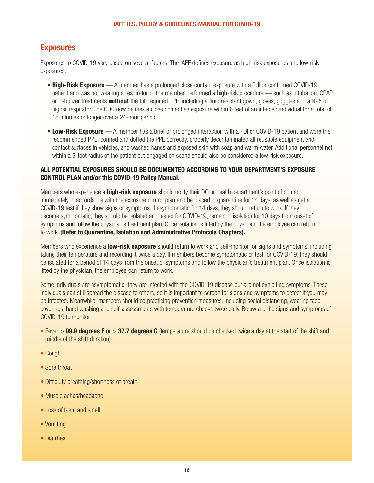# **Exposures**

Exposures to COVID-19 vary based on several factors. The IAFF defines exposure as high-risk exposures and low-risk exposures.

- **High-Risk Exposure** A member has a prolonged close contact exposure with a PUI or confirmed COVID-19 patient and was not wearing a respirator or the member performed a high-risk procedure — such as intubation, CPAP or nebulizer treatments **without** the full required PPE, including a fluid resistant gown, gloves, goggles and a N95 or higher respirator. The CDC now defines a close contact as exposure within 6 feet of an infected individual for a total of 15 minutes or longer over a 24-hour period.
- **Low-Risk Exposure** A member has a brief or prolonged interaction with a PUI or COVID-19 patient and wore the recommended PPE, donned and doffed the PPE correctly, properly decontaminated all reusable equipment and contact surfaces in vehicles, and washed hands and exposed skin with soap and warm water. Additional personnel not within a 6-foot radius of the patient but engaged on scene should also be considered a low-risk exposure.

# **ALL POTENTIAL EXPOSURES SHOULD BE DOCUMENTED ACCORDING TO YOUR DEPARTMENT'S EXPOSURE CONTROL PLAN and/or this COVID-19 Policy Manual.**

Members who experience a **high-risk exposure** should notify their DO or health department's point of contact immediately in accordance with the exposure control plan and be placed in quarantine for 14 days, as well as get a COVID-19 test if they show signs or symptoms. If asymptomatic for 14 days, they should return to work. If they become symptomatic, they should be isolated and tested for COVID-19, remain in isolation for 10 days from onset of symptoms and follow the physician's treatment plan. Once isolation is lifted by the physician, the employee can return to work. (**Refer to Quarantine, Isolation and Administrative Protocols Chapters).**

Members who experience a **low-risk exposure** should return to work and self-monitor for signs and symptoms, including taking their temperature and recording it twice a day. If members become symptomatic or test for COVID-19, they should be isolated for a period of 14 days from the onset of symptoms and follow the physician's treatment plan. Once isolation is lifted by the physician, the employee can return to work.

Some individuals are asymptomatic; they are infected with the COVID-19 disease but are not exhibiting symptoms. These individuals can still spread the disease to others, so it is important to screen for signs and symptoms to detect if you may be infected. Meanwhile, members should be practicing prevention measures, including social distancing, wearing face coverings, hand washing and self-assessments with temperature checks twice daily. Below are the signs and symptoms of COVID-19 to monitor:

- Fever > **99.9 degrees F** or > **37.7 degrees C** (temperature should be checked twice a day at the start of the shift and middle of the shift duration)
- Cough
- Sore throat
- Difficulty breathing/shortness of breath
- Muscle aches/headache
- Loss of taste and smell
- Vomiting
- Diarrhea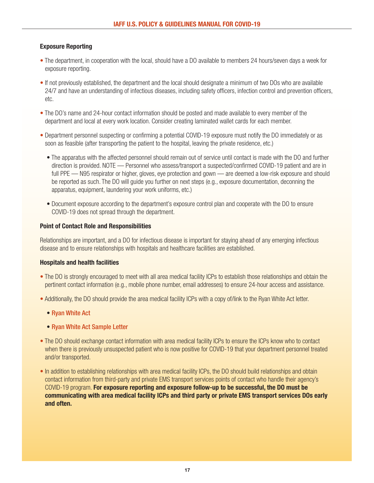# **Exposure Reporting**

- The department, in cooperation with the local, should have a DO available to members 24 hours/seven days a week for exposure reporting.
- If not previously established, the department and the local should designate a minimum of two DOs who are available 24/7 and have an understanding of infectious diseases, including safety officers, infection control and prevention officers, etc.
- The DO's name and 24-hour contact information should be posted and made available to every member of the department and local at every work location. Consider creating laminated wallet cards for each member.
- Department personnel suspecting or confirming a potential COVID-19 exposure must notify the DO immediately or as soon as feasible (after transporting the patient to the hospital, leaving the private residence, etc.)
	- The apparatus with the affected personnel should remain out of service until contact is made with the DO and further direction is provided. NOTE — Personnel who assess/transport a suspected/confirmed COVID-19 patient and are in full PPE — N95 respirator or higher, gloves, eye protection and gown — are deemed a low-risk exposure and should be reported as such. The DO will guide you further on next steps (e.g., exposure documentation, deconning the apparatus, equipment, laundering your work uniforms, etc.)
	- Document exposure according to the department's exposure control plan and cooperate with the DO to ensure COVID-19 does not spread through the department.

#### **Point of Contact Role and Responsibilities**

Relationships are important, and a DO for infectious disease is important for staying ahead of any emerging infectious disease and to ensure relationships with hospitals and healthcare facilities are established.

#### **Hospitals and health facilities**

- The DO is strongly encouraged to meet with all area medical facility ICPs to establish those relationships and obtain the pertinent contact information (e.g., mobile phone number, email addresses) to ensure 24-hour access and assistance.
- Additionally, the DO should provide the area medical facility ICPs with a copy of/link to the Ryan White Act letter.
	- [Ryan White Act](https://www.cdc.gov/niosh/topics/ryanwhite/default.html#table1)
	- [Ryan White Act Sample Letter](https://www.iaff.org/wp-content/uploads/Ryan_White_Act_COVID_19_Form_Letter.docx.doc.docx)
- The DO should exchange contact information with area medical facility ICPs to ensure the ICPs know who to contact when there is previously unsuspected patient who is now positive for COVID-19 that your department personnel treated and/or transported.
- In addition to establishing relationships with area medical facility ICPs, the DO should build relationships and obtain contact information from third-party and private EMS transport services points of contact who handle their agency's COVID-19 program. **For exposure reporting and exposure follow-up to be successful, the DO must be communicating with area medical facility ICPs and third party or private EMS transport services DOs early and often.**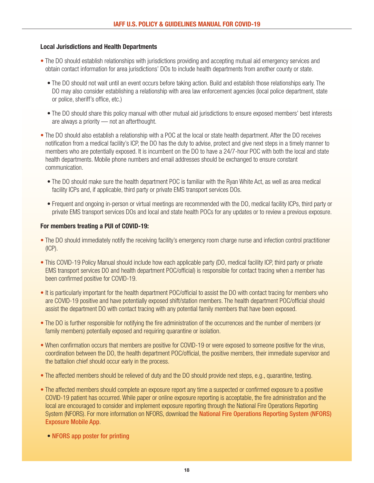## **Local Jurisdictions and Health Departments**

- The DO should establish relationships with jurisdictions providing and accepting mutual aid emergency services and obtain contact information for area jurisdictions' DOs to include health departments from another county or state.
	- The DO should not wait until an event occurs before taking action. Build and establish those relationships early. The DO may also consider establishing a relationship with area law enforcement agencies (local police department, state or police, sheriff's office, etc.)
	- The DO should share this policy manual with other mutual aid jurisdictions to ensure exposed members' best interests are always a priority — not an afterthought.
- The DO should also establish a relationship with a POC at the local or state health department. After the DO receives notification from a medical facility's ICP, the DO has the duty to advise, protect and give next steps in a timely manner to members who are potentially exposed. It is incumbent on the DO to have a 24/7-hour POC with both the local and state health departments. Mobile phone numbers and email addresses should be exchanged to ensure constant communication.
	- The DO should make sure the health department POC is familiar with the Ryan White Act, as well as area medical facility ICPs and, if applicable, third party or private EMS transport services DOs.
	- Frequent and ongoing in-person or virtual meetings are recommended with the DO, medical facility ICPs, third party or private EMS transport services DOs and local and state health POCs for any updates or to review a previous exposure.

## **For members treating a PUI of COVID-19:**

- The DO should immediately notify the receiving facility's emergency room charge nurse and infection control practitioner (ICP).
- This COVID-19 Policy Manual should include how each applicable party (DO, medical facility ICP, third party or private EMS transport services DO and health department POC/official) is responsible for contact tracing when a member has been confirmed positive for COVID-19.
- It is particularly important for the health department POC/official to assist the DO with contact tracing for members who are COVID-19 positive and have potentially exposed shift/station members. The health department POC/official should assist the department DO with contact tracing with any potential family members that have been exposed.
- The DO is further responsible for notifying the fire administration of the occurrences and the number of members (or family members) potentially exposed and requiring quarantine or isolation.
- When confirmation occurs that members are positive for COVID-19 or were exposed to someone positive for the virus, coordination between the DO, the health department POC/official, the positive members, their immediate supervisor and the battalion chief should occur early in the process.
- The affected members should be relieved of duty and the DO should provide next steps, e.g., quarantine, testing.
- The affected members should complete an exposure report any time a suspected or confirmed exposure to a positive COVID-19 patient has occurred. While paper or online exposure reporting is acceptable, the fire administration and the local are encouraged to consider and implement exposure reporting through the National Fire Operations Reporting System (NFORS). For more information on NFORS, download the [National Fire Operations Reporting System \(NFORS\)](https://i-psdi.org/nfors-fire-exposure.html) [Exposure Mobile App](https://i-psdi.org/nfors-fire-exposure.html).
	- [NFORS app poster for printing](https://www.iaff.org/wp-content/uploads/NFORS-iPSDI-App-18x24-Poster-2020.pdf)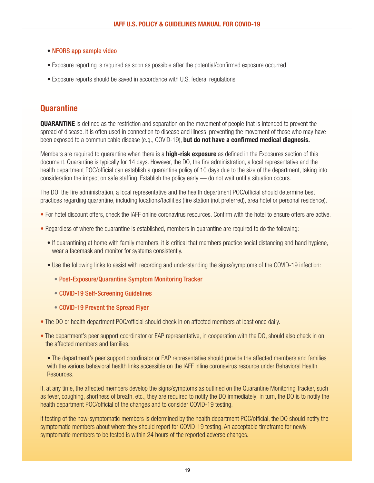- [NFORS app sample video](https://youtu.be/vs7xPI_epyw)
- Exposure reporting is required as soon as possible after the potential/confirmed exposure occurred.
- Exposure reports should be saved in accordance with U.S. federal regulations.

# **Quarantine**

**QUARANTINE** is defined as the restriction and separation on the movement of people that is intended to prevent the spread of disease. It is often used in connection to disease and illness, preventing the movement of those who may have been exposed to a communicable disease (e.g., COVID-19), **but do not have a confirmed medical diagnosis.** 

Members are required to quarantine when there is a **high-risk exposure** as defined in the Exposures section of this document. Quarantine is typically for 14 days. However, the DO, the fire administration, a local representative and the health department POC/official can establish a quarantine policy of 10 days due to the size of the department, taking into consideration the impact on safe staffing. Establish the policy early — do not wait until a situation occurs.

The DO, the fire administration, a local representative and the health department POC/official should determine best practices regarding quarantine, including locations/facilities (fire station (not preferred), area hotel or personal residence).

- For hotel discount offers, check the IAFF online coronavirus resources. Confirm with the hotel to ensure offers are active.
- Regardless of where the quarantine is established, members in quarantine are required to do the following:
	- If quarantining at home with family members, it is critical that members practice social distancing and hand hygiene, wear a facemask and monitor for systems consistently.
	- Use the following links to assist with recording and understanding the signs/symptoms of the COVID-19 infection:
		- [Post-Exposure/Quarantine Symptom Monitoring Tracker](https://www.iaff.org/wp-content/uploads/3-7-2020_COVID-19_PH_SymptomMonitoringTracker-4.pdf)
		- [COVID-19 Self-Screening Guidelines](https://www.iaff.org/wp-content/uploads/Coronavirus-Self-Screening-Guidelines-2020-003-1.pdf)
		- [COVID-19 Prevent the Spread Flyer](https://www.iaff.org/wp-content/uploads/COVID-19-Prevent-the-Spread-Flyer.pdf)
- The DO or health department POC/official should check in on affected members at least once daily.
- The department's peer support coordinator or EAP representative, in cooperation with the DO, should also check in on the affected members and families.

• The department's peer support coordinator or EAP representative should provide the affected members and families with the various behavioral health links accessible on the IAFF inline coronavirus resource under Behavioral Health Resources.

If, at any time, the affected members develop the signs/symptoms as outlined on the Quarantine Monitoring Tracker, such as fever, coughing, shortness of breath, etc., they are required to notify the DO immediately; in turn, the DO is to notify the health department POC/official of the changes and to consider COVID-19 testing.

If testing of the now-symptomatic members is determined by the health department POC/official, the DO should notify the symptomatic members about where they should report for COVID-19 testing. An acceptable timeframe for newly symptomatic members to be tested is within 24 hours of the reported adverse changes.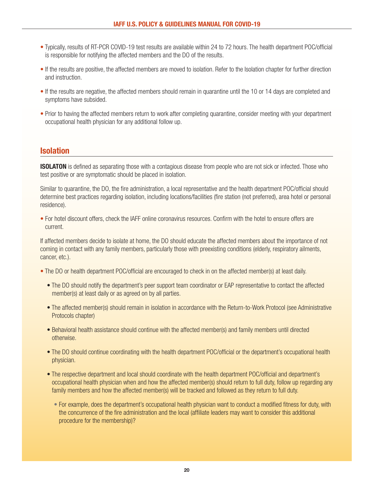- Typically, results of RT-PCR COVID-19 test results are available within 24 to 72 hours. The health department POC/official is responsible for notifying the affected members and the DO of the results.
- If the results are positive, the affected members are moved to isolation. Refer to the Isolation chapter for further direction and instruction.
- If the results are negative, the affected members should remain in quarantine until the 10 or 14 days are completed and symptoms have subsided.
- Prior to having the affected members return to work after completing quarantine, consider meeting with your department occupational health physician for any additional follow up.

# <span id="page-19-0"></span>**Isolation**

**ISOLATON** is defined as separating those with a contagious disease from people who are not sick or infected. Those who test positive or are symptomatic should be placed in isolation.

Similar to quarantine, the DO, the fire administration, a local representative and the health department POC/official should determine best practices regarding isolation, including locations/facilities (fire station (not preferred), area hotel or personal residence).

• For hotel discount offers, check the IAFF online coronavirus resources. Confirm with the hotel to ensure offers are current.

If affected members decide to isolate at home, the DO should educate the affected members about the importance of not coming in contact with any family members, particularly those with preexisting conditions (elderly, respiratory ailments, cancer, etc.).

- The DO or health department POC/official are encouraged to check in on the affected member(s) at least daily.
	- The DO should notify the department's peer support team coordinator or EAP representative to contact the affected member(s) at least daily or as agreed on by all parties.
	- The affected member(s) should remain in isolation in accordance with the Return-to-Work Protocol (see Administrative Protocols chapter)
	- Behavioral health assistance should continue with the affected member(s) and family members until directed otherwise.
	- The DO should continue coordinating with the health department POC/official or the department's occupational health physician.
	- The respective department and local should coordinate with the health department POC/official and department's occupational health physician when and how the affected member(s) should return to full duty, follow up regarding any family members and how the affected member(s) will be tracked and followed as they return to full duty.
		- For example, does the department's occupational health physician want to conduct a modified fitness for duty, with the concurrence of the fire administration and the local (affiliate leaders may want to consider this additional procedure for the membership)?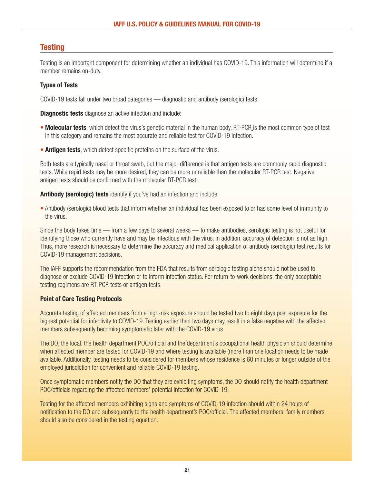# <span id="page-20-0"></span>**Testing**

Testing is an important component for determining whether an individual has COVID-19. This information will determine if a member remains on-duty.

# **Types of Tests**

COVID-19 tests fall under two broad categories — diagnostic and antibody (serologic) tests.

**Diagnostic tests** diagnose an active infection and include:

- **Molecular tests**, which detect the virus's genetic material in the human body. RT-PCR is the most common type of test in this category and remains the most accurate and reliable test for COVID-19 infection.
- **Antigen tests**, which detect specific proteins on the surface of the virus.

Both tests are typically nasal or throat swab, but the major difference is that antigen tests are commonly rapid diagnostic tests. While rapid tests may be more desired, they can be more unreliable than the molecular RT-PCR test. Negative antigen tests should be confirmed with the molecular RT-PCR test.

**Antibody (serologic) tests** identify if you've had an infection and include:

• Antibody (serologic) blood tests that inform whether an individual has been exposed to or has some level of immunity to the virus.

Since the body takes time — from a few days to several weeks — to make antibodies, serologic testing is not useful for identifying those who currently have and may be infectious with the virus. In addition, accuracy of detection is not as high. Thus, more research is necessary to determine the accuracy and medical application of antibody (serologic) test results for COVID-19 management decisions.

The IAFF supports the recommendation from the FDA that results from serologic testing alone should not be used to diagnose or exclude COVID-19 infection or to inform infection status. For return-to-work decisions, the only acceptable testing regimens are RT-PCR tests or antigen tests.

# **Point of Care Testing Protocols**

Accurate testing of affected members from a high-risk exposure should be tested two to eight days post exposure for the highest potential for infectivity to COVID-19. Testing earlier than two days may result in a false negative with the affected members subsequently becoming symptomatic later with the COVID-19 virus.

The DO, the local, the health department POC/official and the department's occupational health physician should determine when affected member are tested for COVID-19 and where testing is available (more than one location needs to be made available. Additionally, testing needs to be considered for members whose residence is 60 minutes or longer outside of the employed jurisdiction for convenient and reliable COVID-19 testing.

Once symptomatic members notify the DO that they are exhibiting symptoms, the DO should notify the health department POC/officials regarding the affected members' potential infection for COVID-19.

Testing for the affected members exhibiting signs and symptoms of COVID-19 infection should within 24 hours of notification to the DO and subsequently to the health department's POC/official. The affected members' family members should also be considered in the testing equation.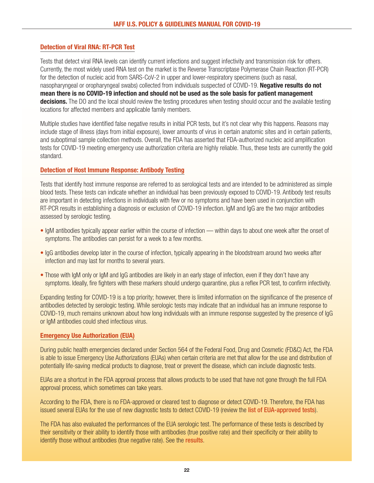## **Detection of Viral RNA: RT-PCR Test**

Tests that detect viral RNA levels can identify current infections and suggest infectivity and transmission risk for others. Currently, the most widely used RNA test on the market is the Reverse Transcriptase Polymerase Chain Reaction (RT-PCR) for the detection of nucleic acid from SARS-CoV-2 in upper and lower-respiratory specimens (such as nasal, nasopharyngeal or oropharyngeal swabs) collected from individuals suspected of COVID-19. **Negative results do not mean there is no COVID-19 infection and should not be used as the sole basis for patient management decisions.** The DO and the local should review the testing procedures when testing should occur and the available testing locations for affected members and applicable family members.

Multiple studies have identified false negative results in initial PCR tests, but it's not clear why this happens. Reasons may include stage of illness (days from initial exposure), lower amounts of virus in certain anatomic sites and in certain patients, and suboptimal sample collection methods. Overall, the FDA has asserted that FDA-authorized nucleic acid amplification tests for COVID-19 meeting emergency use authorization criteria are highly reliable. Thus, these tests are currently the gold standard.

## <span id="page-21-0"></span>**Detection of Host Immune Response: Antibody Testing**

Tests that identify host immune response are referred to as serological tests and are intended to be administered as simple blood tests. These tests can indicate whether an individual has been previously exposed to COVID-19. Antibody test results are important in detecting infections in individuals with few or no symptoms and have been used in conjunction with RT-PCR results in establishing a diagnosis or exclusion of COVID-19 infection. IgM and IgG are the two major antibodies assessed by serologic testing.

- IgM antibodies typically appear earlier within the course of infection within days to about one week after the onset of symptoms. The antibodies can persist for a week to a few months.
- IgG antibodies develop later in the course of infection, typically appearing in the bloodstream around two weeks after infection and may last for months to several years.
- Those with IgM only or IgM and IgG antibodies are likely in an early stage of infection, even if they don't have any symptoms. Ideally, fire fighters with these markers should undergo quarantine, plus a reflex PCR test, to confirm infectivity.

Expanding testing for COVID-19 is a top priority; however, there is limited information on the significance of the presence of antibodies detected by serologic testing. While serologic tests may indicate that an individual has an immune response to COVID-19, much remains unknown about how long individuals with an immune response suggested by the presence of IgG or IgM antibodies could shed infectious virus.

#### **Emergency Use Authorization (EUA)**

During public health emergencies declared under Section 564 of the Federal Food, Drug and Cosmetic (FD&C) Act, the FDA is able to issue Emergency Use Authorizations (EUAs) when certain criteria are met that allow for the use and distribution of potentially life-saving medical products to diagnose, treat or prevent the disease, which can include diagnostic tests.

EUAs are a shortcut in the FDA approval process that allows products to be used that have not gone through the full FDA approval process, which sometimes can take years.

According to the FDA, there is no FDA-approved or cleared test to diagnose or detect COVID-19. Therefore, the FDA has issued several EUAs for the use of new diagnostic tests to detect COVID-19 (review the [list of EUA-approved tests](https://www.fda.gov/medical-devices/emergency-situations-medical-devices/emergency-use-authorizations)).

The FDA has also evaluated the performances of the EUA serologic test. The performance of these tests is described by their sensitivity or their ability to identify those with antibodies (true positive rate) and their specificity or their ability to identify those without antibodies (true negative rate). See the [results](https://www.fda.gov/medical-devices/emergency-situations-medical-devices/eua-authorized-serology-test-performance).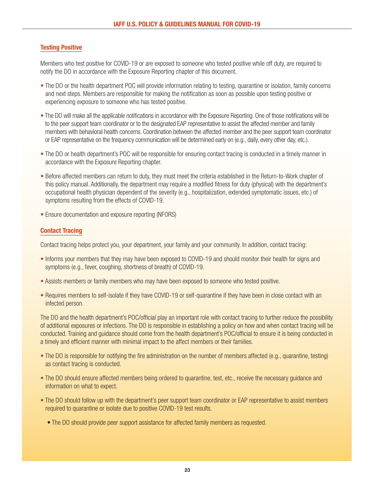# **Testing Positive**

Members who test positive for COVID-19 or are exposed to someone who tested positive while off duty, are required to notify the DO in accordance with the Exposure Reporting chapter of this document.

- The DO or the health department POC will provide information relating to testing, quarantine or isolation, family concerns and next steps. Members are responsible for making the notification as soon as possible upon testing positive or experiencing exposure to someone who has tested positive.
- The DO will make all the applicable notifications in accordance with the Exposure Reporting. One of those notifications will be to the peer support team coordinator or to the designated EAP representative to assist the affected member and family members with behavioral health concerns. Coordination between the affected member and the peer support team coordinator or EAP representative on the frequency communication will be determined early on (e.g., daily, every other day, etc.).
- The DO or health department's POC will be responsible for ensuring contact tracing is conducted in a timely manner in accordance with the Exposure Reporting chapter.
- Before affected members can return to duty, they must meet the criteria established in the Return-to-Work chapter of this policy manual. Additionally, the department may require a modified fitness for duty (physical) with the department's occupational health physician dependent of the severity (e.g., hospitalization, extended symptomatic issues, etc.) of symptoms resulting from the effects of COVID-19.
- Ensure documentation and exposure reporting (NFORS)

# **Contact Tracing**

Contact tracing helps protect you, your department, your family and your community. In addition, contact tracing:

- Informs your members that they may have been exposed to COVID-19 and should monitor their health for signs and symptoms (e.g., fever, coughing, shortness of breath) of COVID-19.
- Assists members or family members who may have been exposed to someone who tested positive.
- Requires members to self-isolate if they have COVID-19 or self-quarantine if they have been in close contact with an infected person.

The DO and the health department's POC/official play an important role with contact tracing to further reduce the possibility of additional exposures or infections. The DO is responsible in establishing a policy on how and when contact tracing will be conducted. Training and guidance should come from the health department's POC/official to ensure it is being conducted in a timely and efficient manner with minimal impact to the affect members or their families.

- The DO is responsible for notifying the fire administration on the number of members affected (e.g., quarantine, testing) as contact tracing is conducted.
- The DO should ensure affected members being ordered to quarantine, test, etc., receive the necessary guidance and information on what to expect.
- The DO should follow up with the department's peer support team coordinator or EAP representative to assist members required to quarantine or isolate due to positive COVID-19 test results.
	- The DO should provide peer support assistance for affected family members as requested.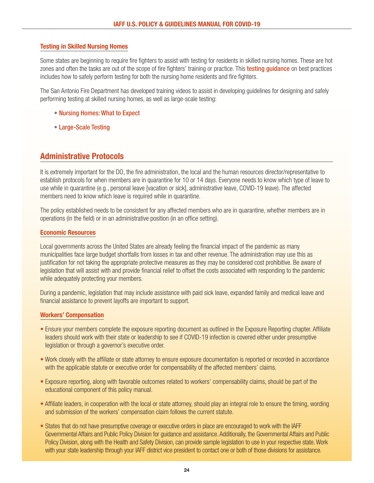## **Testing in Skilled Nursing Homes**

Some states are beginning to require fire fighters to assist with testing for residents in skilled nursing homes. These are hot zones and often the tasks are out of the scope of fire fighters' training or practice. This testing quidance on best practices includes how to safely perform testing for both the nursing home residents and fire fighters.

The San Antonio Fire Department has developed training videos to assist in developing guidelines for designing and safely performing testing at skilled nursing homes, as well as large-scale testing:

- [Nursing Homes: What to Expect](https://app.box.com/s/gw41gvioa13xs2eyp2fbvul9uju8mv0i)
- [Large-Scale Testing](https://app.box.com/s/noyu1byrgjgg2um3abf0voqdc7a1zgyx)

# **Administrative Protocols**

It is extremely important for the DO, the fire administration, the local and the human resources director/representative to establish protocols for when members are in quarantine for 10 or 14 days. Everyone needs to know which type of leave to use while in quarantine (e.g., personal leave [vacation or sick], administrative leave, COVID-19 leave). The affected members need to know which leave is required while in quarantine.

The policy established needs to be consistent for any affected members who are in quarantine, whether members are in operations (in the field) or in an administrative position (in an office setting).

#### **Economic Resources**

Local governments across the United States are already feeling the financial impact of the pandemic as many municipalities face large budget shortfalls from losses in tax and other revenue. The administration may use this as justification for not taking the appropriate protective measures as they may be considered cost prohibitive. Be aware of legislation that will assist with and provide financial relief to offset the costs associated with responding to the pandemic while adequately protecting your members.

During a pandemic, legislation that may include assistance with paid sick leave, expanded family and medical leave and financial assistance to prevent layoffs are important to support.

#### <span id="page-23-0"></span>**Workers' Compensation**

- Ensure your members complete the exposure reporting document as outlined in the Exposure Reporting chapter. Affiliate leaders should work with their state or leadership to see if COVID-19 infection is covered either under presumptive legislation or through a governor's executive order.
- Work closely with the affiliate or state attorney to ensure exposure documentation is reported or recorded in accordance with the applicable statute or executive order for compensability of the affected members' claims.
- Exposure reporting, along with favorable outcomes related to workers' compensability claims, should be part of the educational component of this policy manual.
- Affiliate leaders, in cooperation with the local or state attorney, should play an integral role to ensure the timing, wording and submission of the workers' compensation claim follows the current statute.
- States that do not have presumptive coverage or executive orders in place are encouraged to work with the IAFF Governmental Affairs and Public Policy Division for guidance and assistance. Additionally, the Governmental Affairs and Public Policy Division, along with the Health and Safety Division, can provide sample legislation to use in your respective state. Work with your state leadership through your IAFF district vice president to contact one or both of those divisions for assistance.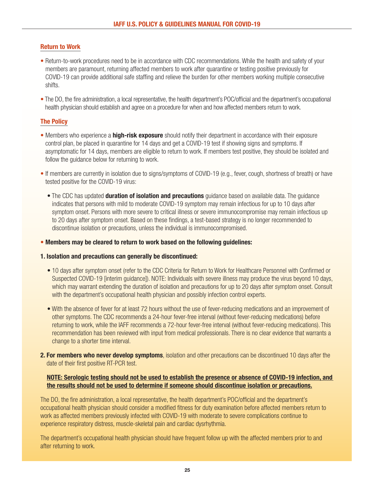# <span id="page-24-0"></span>**Return to Work**

- Return-to-work procedures need to be in accordance with CDC recommendations. While the health and safety of your members are paramount, returning affected members to work after quarantine or testing positive previously for COVID-19 can provide additional safe staffing and relieve the burden for other members working multiple consecutive shifts.
- The DO, the fire administration, a local representative, the health department's POC/official and the department's occupational health physician should establish and agree on a procedure for when and how affected members return to work.

# **The Policy**

- <span id="page-24-1"></span>• Members who experience a **high-risk exposure** should notify their department in accordance with their exposure control plan, be placed in quarantine for 14 days and get a COVID-19 test if showing signs and symptoms. If asymptomatic for 14 days, members are eligible to return to work. If members test positive, they should be isolated and follow the quidance below for returning to work.
- If members are currently in isolation due to signs/symptoms of COVID-19 (e.g., fever, cough, shortness of breath) or have tested positive for the COVID-19 virus:
	- The CDC has updated **duration of isolation and precautions** guidance based on available data. The guidance indicates that persons with mild to moderate COVID-19 symptom may remain infectious for up to 10 days after symptom onset. Persons with more severe to critical illness or severe immunocompromise may remain infectious up to 20 days after symptom onset. Based on these findings, a test-based strategy is no longer recommended to discontinue isolation or precautions, unless the individual is immunocompromised.

#### • **Members may be cleared to return to work based on the following guidelines:**

#### **1. Isolation and precautions can generally be discontinued:**

- 10 days after symptom onset (refer to the [CDC Criteria for Return to Work for Healthcare Personnel with Confirmed or](https://www.cdc.gov/coronavirus/2019-ncov/healthcare-facilities/hcp-return-work.htm) [Suspected COVID-19](https://www.cdc.gov/coronavirus/2019-ncov/healthcare-facilities/hcp-return-work.htm) [interim guidance]). NOTE: Individuals with severe illness may produce the virus beyond 10 days, which may warrant extending the duration of isolation and precautions for up to 20 days after symptom onset. Consult with the department's occupational health physician and possibly infection control experts.
- With the absence of fever for at least 72 hours without the use of fever-reducing medications and an improvement of other symptoms. The CDC recommends a 24-hour fever-free interval (without fever-reducing medications) before returning to work, while the IAFF recommends a 72-hour fever-free interval (without fever-reducing medications). This recommendation has been reviewed with input from medical professionals. There is no clear evidence that warrants a change to a shorter time interval.
- **2. For members who never develop symptoms**, isolation and other precautions can be discontinued 10 days after the date of their first positive RT-PCR test.

# **NOTE: Serologic testing should not be used to establish the presence or absence of COVID-19 infection, and the results should not be used to determine if someone should discontinue isolation or precautions.**

The DO, the fire administration, a local representative, the health department's POC/official and the department's occupational health physician should consider a modified fitness for duty examination before affected members return to work as affected members previously infected with COVID-19 with moderate to severe complications continue to experience respiratory distress, muscle-skeletal pain and cardiac dysrhythmia.

The department's occupational health physician should have frequent follow up with the affected members prior to and after returning to work.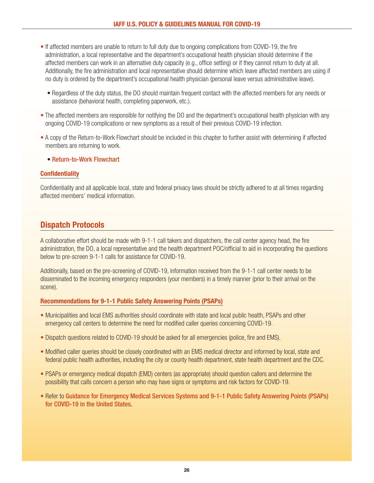- If affected members are unable to return to full duty due to ongoing complications from COVID-19, the fire administration, a local representative and the department's occupational health physician should determine if the affected members can work in an alternative duty capacity (e.g., office setting) or if they cannot return to duty at all. Additionally, the fire administration and local representative should determine which leave affected members are using if no duty is ordered by the department's occupational health physician (personal leave versus administrative leave).
	- Regardless of the duty status, the DO should maintain frequent contact with the affected members for any needs or assistance (behavioral health, completing paperwork, etc.).
- The affected members are responsible for notifying the DO and the department's occupational health physician with any ongoing COVID-19 complications or new symptoms as a result of their previous COVID-19 infection.
- A copy of the Return-to-Work Flowchart should be included in this chapter to further assist with determining if affected members are returning to work.
	- [Return-to-Work Flowchart](https://www.iaff.org/wp-content/uploads/COVID-19_Decision_Tree.pdf)

## **Confidentiality**

Confidentiality and all applicable local, state and federal privacy laws should be strictly adhered to at all times regarding affected members' medical information.

# **Dispatch Protocols**

A collaborative effort should be made with 9-1-1 call takers and dispatchers, the call center agency head, the fire administration, the DO, a local representative and the health department POC/official to aid in incorporating the questions below to pre-screen 9-1-1 calls for assistance for COVID-19.

Additionally, based on the pre-screening of COVID-19, information received from the 9-1-1 call center needs to be disseminated to the incoming emergency responders (your members) in a timely manner (prior to their arrival on the scene).

#### **Recommendations for 9-1-1 Public Safety Answering Points (PSAPs)**

- Municipalities and local EMS authorities should coordinate with state and local public health, PSAPs and other emergency call centers to determine the need for modified caller queries concerning COVID-19.
- Dispatch questions related to COVID-19 should be asked for all emergencies (police, fire and EMS).
- Modified caller queries should be closely coordinated with an EMS medical director and informed by local, state and federal public health authorities, including the city or county health department, state health department and the CDC.
- PSAPs or emergency medical dispatch (EMD) centers (as appropriate) should question callers and determine the possibility that calls concern a person who may have signs or symptoms and risk factors for COVID-19.
- Refer to [Guidance for Emergency Medical Services Systems and 9-1-1 Public Safety Answering Points \(PSAPs\)](https://www.cdc.gov/coronavirus/2019-ncov/hcp/guidance-for-ems.html) [for COVID-19 in the United States.](https://www.cdc.gov/coronavirus/2019-ncov/hcp/guidance-for-ems.html)